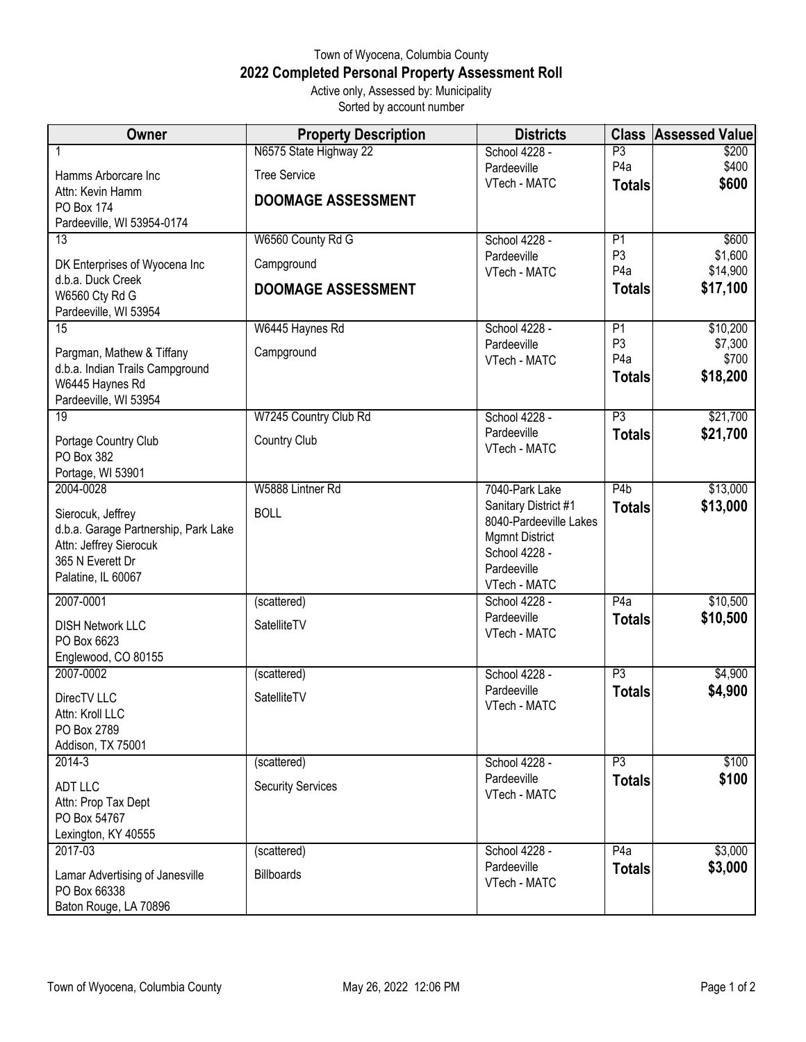## Town of Wyocena, Columbia County **2022 Completed Personal Property Assessment Roll** Active only, Assessed by: Municipality

Sorted by account number

| <b>Owner</b>                                                 | <b>Property Description</b> | <b>Districts</b>                               | <b>Class</b>         | <b>Assessed Value</b> |
|--------------------------------------------------------------|-----------------------------|------------------------------------------------|----------------------|-----------------------|
|                                                              | N6575 State Highway 22      | School 4228 -                                  | P3                   | \$200                 |
| Hamms Arborcare Inc                                          | <b>Tree Service</b>         | Pardeeville                                    | P <sub>4</sub> a     | \$400                 |
| Attn: Kevin Hamm                                             |                             | VTech - MATC                                   | <b>Totals</b>        | \$600                 |
| <b>PO Box 174</b>                                            | <b>DOOMAGE ASSESSMENT</b>   |                                                |                      |                       |
| Pardeeville, WI 53954-0174                                   |                             |                                                |                      |                       |
| 13                                                           | W6560 County Rd G           | School 4228 -<br>Pardeeville                   | P1<br>P <sub>3</sub> | \$600<br>\$1,600      |
| DK Enterprises of Wyocena Inc                                | Campground                  | VTech - MATC                                   | P <sub>4</sub> a     | \$14,900              |
| d.b.a. Duck Creek                                            | <b>DOOMAGE ASSESSMENT</b>   |                                                | <b>Totals</b>        | \$17,100              |
| W6560 Cty Rd G<br>Pardeeville, WI 53954                      |                             |                                                |                      |                       |
| 15                                                           | W6445 Haynes Rd             | School 4228 -                                  | P1                   | \$10,200              |
|                                                              |                             | Pardeeville                                    | P <sub>3</sub>       | \$7,300               |
| Pargman, Mathew & Tiffany<br>d.b.a. Indian Trails Campground | Campground                  | VTech - MATC                                   | P <sub>4</sub> a     | \$700                 |
| W6445 Haynes Rd                                              |                             |                                                | <b>Totals</b>        | \$18,200              |
| Pardeeville, WI 53954                                        |                             |                                                |                      |                       |
| $\overline{19}$                                              | W7245 Country Club Rd       | School 4228 -                                  | $\overline{P3}$      | \$21,700              |
| Portage Country Club                                         | Country Club                | Pardeeville                                    | <b>Totals</b>        | \$21,700              |
| PO Box 382                                                   |                             | VTech - MATC                                   |                      |                       |
| Portage, WI 53901                                            |                             |                                                |                      |                       |
| 2004-0028                                                    | W5888 Lintner Rd            | 7040-Park Lake                                 | P <sub>4</sub> b     | \$13,000              |
| Sierocuk, Jeffrey                                            | <b>BOLL</b>                 | Sanitary District #1<br>8040-Pardeeville Lakes | <b>Totals</b>        | \$13,000              |
| d.b.a. Garage Partnership, Park Lake                         |                             | <b>Mgmnt District</b>                          |                      |                       |
| Attn: Jeffrey Sierocuk                                       |                             | School 4228 -                                  |                      |                       |
| 365 N Everett Dr<br>Palatine, IL 60067                       |                             | Pardeeville                                    |                      |                       |
|                                                              |                             | VTech - MATC                                   |                      |                       |
| 2007-0001                                                    | (scattered)                 | School 4228 -                                  | P4a                  | \$10,500              |
| <b>DISH Network LLC</b>                                      | SatelliteTV                 | Pardeeville<br>VTech - MATC                    | <b>Totals</b>        | \$10,500              |
| PO Box 6623                                                  |                             |                                                |                      |                       |
| Englewood, CO 80155<br>2007-0002                             |                             | School 4228 -                                  | $\overline{P3}$      |                       |
|                                                              | (scattered)                 | Pardeeville                                    | <b>Totals</b>        | \$4,900<br>\$4,900    |
| DirecTV LLC                                                  | SatelliteTV                 | VTech - MATC                                   |                      |                       |
| Attn: Kroll LLC<br>PO Box 2789                               |                             |                                                |                      |                       |
| Addison, TX 75001                                            |                             |                                                |                      |                       |
| 2014-3                                                       | (scattered)                 | School 4228 -                                  | $\overline{P3}$      | \$100                 |
| ADT LLC                                                      | <b>Security Services</b>    | Pardeeville                                    | <b>Totals</b>        | \$100                 |
| Attn: Prop Tax Dept                                          |                             | VTech - MATC                                   |                      |                       |
| PO Box 54767                                                 |                             |                                                |                      |                       |
| Lexington, KY 40555                                          |                             |                                                |                      |                       |
| 2017-03                                                      | (scattered)                 | School 4228 -                                  | P4a                  | \$3,000               |
| Lamar Advertising of Janesville                              | <b>Billboards</b>           | Pardeeville                                    | <b>Totals</b>        | \$3,000               |
| PO Box 66338                                                 |                             | VTech - MATC                                   |                      |                       |
| Baton Rouge, LA 70896                                        |                             |                                                |                      |                       |